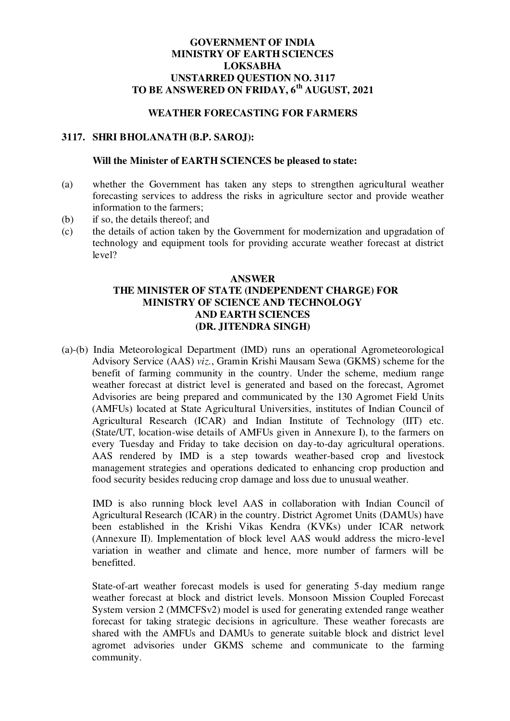## **GOVERNMENT OF INDIA MINISTRY OF EARTH SCIENCES LOKSABHA UNSTARRED QUESTION NO. 3117 TO BE ANSWERED ON FRIDAY, 6th AUGUST, 2021**

## **WEATHER FORECASTING FOR FARMERS**

### **3117. SHRI BHOLANATH (B.P. SAROJ):**

#### **Will the Minister of EARTH SCIENCES be pleased to state:**

- (a) whether the Government has taken any steps to strengthen agricultural weather forecasting services to address the risks in agriculture sector and provide weather information to the farmers;
- (b) if so, the details thereof; and
- (c) the details of action taken by the Government for modernization and upgradation of technology and equipment tools for providing accurate weather forecast at district level?

## **ANSWER THE MINISTER OF STATE (INDEPENDENT CHARGE) FOR MINISTRY OF SCIENCE AND TECHNOLOGY AND EARTH SCIENCES (DR. JITENDRA SINGH)**

(a)-(b) India Meteorological Department (IMD) runs an operational Agrometeorological Advisory Service (AAS) *viz.*, Gramin Krishi Mausam Sewa (GKMS) scheme for the benefit of farming community in the country. Under the scheme, medium range weather forecast at district level is generated and based on the forecast, Agromet Advisories are being prepared and communicated by the 130 Agromet Field Units (AMFUs) located at State Agricultural Universities, institutes of Indian Council of Agricultural Research (ICAR) and Indian Institute of Technology (IIT) etc. (State/UT, location-wise details of AMFUs given in Annexure I), to the farmers on every Tuesday and Friday to take decision on day-to-day agricultural operations. AAS rendered by IMD is a step towards weather-based crop and livestock management strategies and operations dedicated to enhancing crop production and food security besides reducing crop damage and loss due to unusual weather.

IMD is also running block level AAS in collaboration with Indian Council of Agricultural Research (ICAR) in the country. District Agromet Units (DAMUs) have been established in the Krishi Vikas Kendra (KVKs) under ICAR network (Annexure II). Implementation of block level AAS would address the micro-level variation in weather and climate and hence, more number of farmers will be benefitted.

State-of-art weather forecast models is used for generating 5-day medium range weather forecast at block and district levels. Monsoon Mission Coupled Forecast System version 2 (MMCFSv2) model is used for generating extended range weather forecast for taking strategic decisions in agriculture. These weather forecasts are shared with the AMFUs and DAMUs to generate suitable block and district level agromet advisories under GKMS scheme and communicate to the farming community.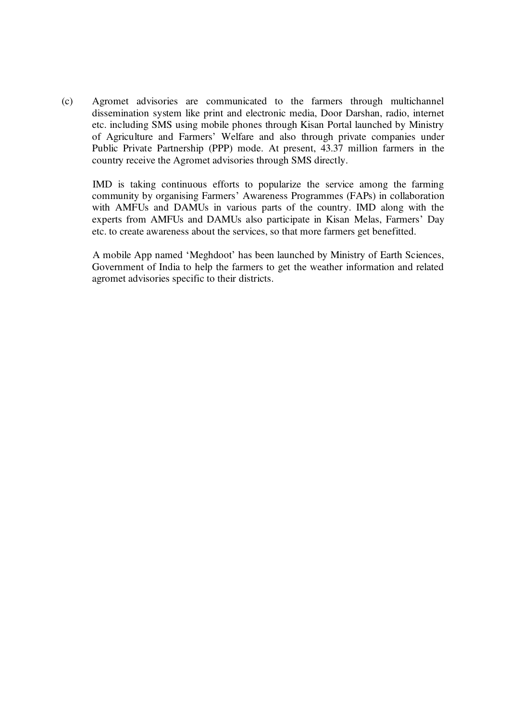(c) Agromet advisories are communicated to the farmers through multichannel dissemination system like print and electronic media, Door Darshan, radio, internet etc. including SMS using mobile phones through Kisan Portal launched by Ministry of Agriculture and Farmers' Welfare and also through private companies under Public Private Partnership (PPP) mode. At present, 43.37 million farmers in the country receive the Agromet advisories through SMS directly.

IMD is taking continuous efforts to popularize the service among the farming community by organising Farmers' Awareness Programmes (FAPs) in collaboration with AMFUs and DAMUs in various parts of the country. IMD along with the experts from AMFUs and DAMUs also participate in Kisan Melas, Farmers' Day etc. to create awareness about the services, so that more farmers get benefitted.

A mobile App named 'Meghdoot' has been launched by Ministry of Earth Sciences, Government of India to help the farmers to get the weather information and related agromet advisories specific to their districts.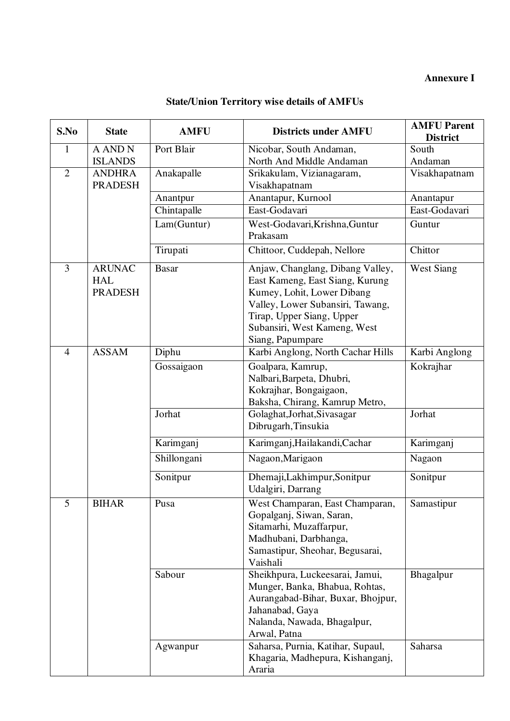# **Annexure I**

# **State/Union Territory wise details of AMFUs**

| S.No           | <b>State</b>                                  | <b>AMFU</b>  | <b>Districts under AMFU</b>                                                                                                                                                                                            | <b>AMFU Parent</b><br><b>District</b> |
|----------------|-----------------------------------------------|--------------|------------------------------------------------------------------------------------------------------------------------------------------------------------------------------------------------------------------------|---------------------------------------|
| $\mathbf{1}$   | <b>A AND N</b>                                | Port Blair   | Nicobar, South Andaman,                                                                                                                                                                                                | South                                 |
|                | <b>ISLANDS</b>                                |              | North And Middle Andaman                                                                                                                                                                                               | Andaman                               |
| $\overline{2}$ | <b>ANDHRA</b>                                 | Anakapalle   | Srikakulam, Vizianagaram,                                                                                                                                                                                              | Visakhapatnam                         |
|                | <b>PRADESH</b>                                |              | Visakhapatnam                                                                                                                                                                                                          |                                       |
|                |                                               | Anantpur     | Anantapur, Kurnool                                                                                                                                                                                                     | Anantapur                             |
|                |                                               | Chintapalle  | East-Godavari                                                                                                                                                                                                          | East-Godavari                         |
|                |                                               | Lam(Guntur)  | West-Godavari, Krishna, Guntur<br>Prakasam                                                                                                                                                                             | Guntur                                |
|                |                                               | Tirupati     | Chittoor, Cuddepah, Nellore                                                                                                                                                                                            | Chittor                               |
| 3              | <b>ARUNAC</b><br><b>HAL</b><br><b>PRADESH</b> | <b>Basar</b> | Anjaw, Changlang, Dibang Valley,<br>East Kameng, East Siang, Kurung<br>Kumey, Lohit, Lower Dibang<br>Valley, Lower Subansiri, Tawang,<br>Tirap, Upper Siang, Upper<br>Subansiri, West Kameng, West<br>Siang, Papumpare | <b>West Siang</b>                     |
| $\overline{4}$ | <b>ASSAM</b>                                  | Diphu        | Karbi Anglong, North Cachar Hills                                                                                                                                                                                      | Karbi Anglong                         |
|                |                                               | Gossaigaon   | Goalpara, Kamrup,<br>Nalbari, Barpeta, Dhubri,<br>Kokrajhar, Bongaigaon,<br>Baksha, Chirang, Kamrup Metro,                                                                                                             | Kokrajhar                             |
|                |                                               | Jorhat       | Golaghat, Jorhat, Sivasagar<br>Dibrugarh, Tinsukia                                                                                                                                                                     | Jorhat                                |
|                |                                               | Karimganj    | Karimganj, Hailakandi, Cachar                                                                                                                                                                                          | Karimganj                             |
|                |                                               | Shillongani  | Nagaon, Marigaon                                                                                                                                                                                                       | Nagaon                                |
|                |                                               | Sonitpur     | Dhemaji,Lakhimpur,Sonitpur<br>Udalgiri, Darrang                                                                                                                                                                        | Sonitpur                              |
| 5              | <b>BIHAR</b>                                  | Pusa         | West Champaran, East Champaran,<br>Gopalganj, Siwan, Saran,<br>Sitamarhi, Muzaffarpur,<br>Madhubani, Darbhanga,<br>Samastipur, Sheohar, Begusarai,<br>Vaishali                                                         | Samastipur                            |
|                |                                               | Sabour       | Sheikhpura, Luckeesarai, Jamui,<br>Munger, Banka, Bhabua, Rohtas,<br>Aurangabad-Bihar, Buxar, Bhojpur,<br>Jahanabad, Gaya<br>Nalanda, Nawada, Bhagalpur,<br>Arwal, Patna                                               | Bhagalpur                             |
|                |                                               | Agwanpur     | Saharsa, Purnia, Katihar, Supaul,<br>Khagaria, Madhepura, Kishanganj,<br>Araria                                                                                                                                        | Saharsa                               |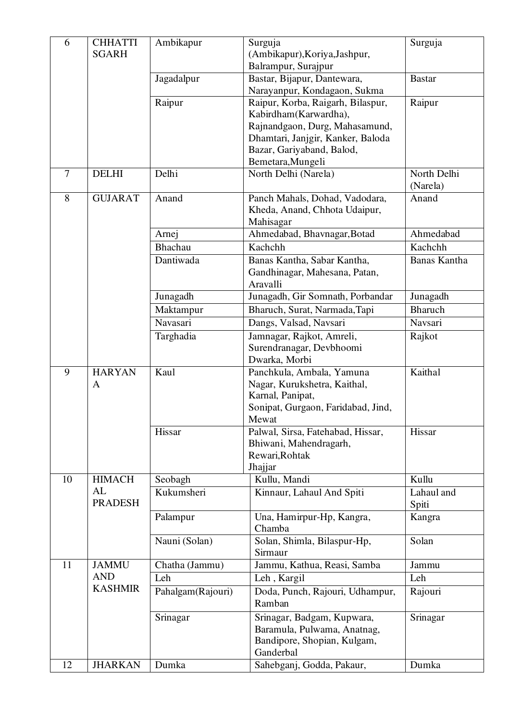| 6  | <b>CHHATTI</b><br><b>SGARH</b> | Ambikapur         | Surguja<br>(Ambikapur), Koriya, Jashpur,<br>Balrampur, Surajpur                                                              | Surguja                 |
|----|--------------------------------|-------------------|------------------------------------------------------------------------------------------------------------------------------|-------------------------|
|    |                                | Jagadalpur        | Bastar, Bijapur, Dantewara,<br>Narayanpur, Kondagaon, Sukma                                                                  | <b>Bastar</b>           |
|    |                                | Raipur            | Raipur, Korba, Raigarh, Bilaspur,<br>Kabirdham(Karwardha),                                                                   | Raipur                  |
|    |                                |                   | Rajnandgaon, Durg, Mahasamund,<br>Dhamtari, Janjgir, Kanker, Baloda<br>Bazar, Gariyaband, Balod,<br>Bemetara, Mungeli        |                         |
| 7  | <b>DELHI</b>                   | Delhi             | North Delhi (Narela)                                                                                                         | North Delhi<br>(Narela) |
| 8  | <b>GUJARAT</b>                 | Anand             | Panch Mahals, Dohad, Vadodara,<br>Kheda, Anand, Chhota Udaipur,<br>Mahisagar                                                 | Anand                   |
|    |                                | Arnej             | Ahmedabad, Bhavnagar, Botad                                                                                                  | Ahmedabad               |
|    |                                | Bhachau           | Kachchh                                                                                                                      | Kachchh                 |
|    |                                | Dantiwada         | Banas Kantha, Sabar Kantha,<br>Gandhinagar, Mahesana, Patan,<br>Aravalli                                                     | Banas Kantha            |
|    |                                | Junagadh          | Junagadh, Gir Somnath, Porbandar                                                                                             | Junagadh                |
|    |                                | Maktampur         | Bharuch, Surat, Narmada, Tapi                                                                                                | <b>Bharuch</b>          |
|    |                                | Navasari          | Dangs, Valsad, Navsari                                                                                                       | Navsari                 |
|    |                                | Targhadia         | Jamnagar, Rajkot, Amreli,<br>Surendranagar, Devbhoomi<br>Dwarka, Morbi                                                       | Rajkot                  |
| 9  | <b>HARYAN</b><br>A             | Kaul              | Panchkula, Ambala, Yamuna<br>Nagar, Kurukshetra, Kaithal,<br>Karnal, Panipat,<br>Sonipat, Gurgaon, Faridabad, Jind,<br>Mewat | Kaithal                 |
|    |                                | Hissar            | Palwal, Sirsa, Fatehabad, Hissar,<br>Bhiwani, Mahendragarh,<br>Rewari, Rohtak<br>Jhajjar                                     | Hissar                  |
| 10 | <b>HIMACH</b>                  | Seobagh           | Kullu, Mandi                                                                                                                 | Kullu                   |
|    | AL<br><b>PRADESH</b>           | Kukumsheri        | Kinnaur, Lahaul And Spiti                                                                                                    | Lahaul and<br>Spiti     |
|    |                                | Palampur          | Una, Hamirpur-Hp, Kangra,<br>Chamba                                                                                          | Kangra                  |
|    |                                | Nauni (Solan)     | Solan, Shimla, Bilaspur-Hp,<br>Sirmaur                                                                                       | Solan                   |
| 11 | <b>JAMMU</b>                   | Chatha (Jammu)    | Jammu, Kathua, Reasi, Samba                                                                                                  | Jammu                   |
|    | <b>AND</b>                     | Leh               | Leh, Kargil                                                                                                                  | Leh                     |
|    | <b>KASHMIR</b>                 | Pahalgam(Rajouri) | Doda, Punch, Rajouri, Udhampur,<br>Ramban                                                                                    | Rajouri                 |
|    |                                | Srinagar          | Srinagar, Badgam, Kupwara,<br>Baramula, Pulwama, Anatnag,<br>Bandipore, Shopian, Kulgam,<br>Ganderbal                        | Srinagar                |
| 12 | <b>JHARKAN</b>                 | Dumka             | Sahebganj, Godda, Pakaur,                                                                                                    | Dumka                   |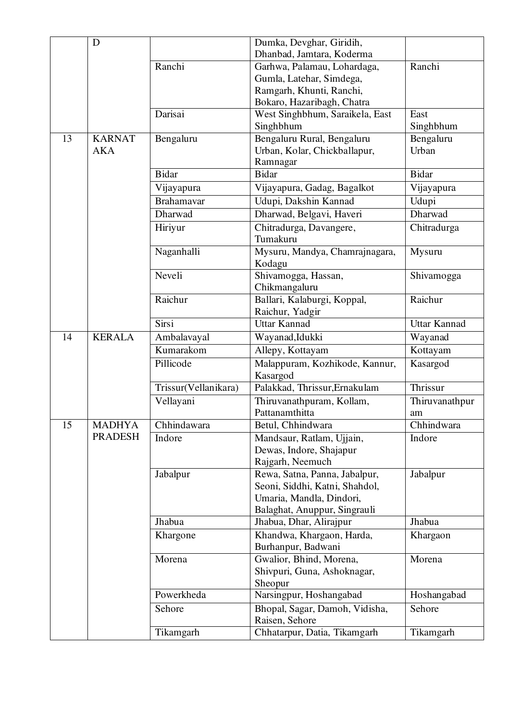|    | D              |                      | Dumka, Devghar, Giridih,                             |                     |
|----|----------------|----------------------|------------------------------------------------------|---------------------|
|    |                |                      | Dhanbad, Jamtara, Koderma                            |                     |
|    |                | Ranchi               | Garhwa, Palamau, Lohardaga,                          | Ranchi              |
|    |                |                      | Gumla, Latehar, Simdega,                             |                     |
|    |                |                      | Ramgarh, Khunti, Ranchi,                             |                     |
|    | Darisai        |                      | Bokaro, Hazaribagh, Chatra                           |                     |
|    |                |                      | West Singhbhum, Saraikela, East                      | East                |
|    |                |                      | Singhbhum                                            | Singhbhum           |
| 13 | <b>KARNAT</b>  | Bengaluru            | Bengaluru Rural, Bengaluru                           | Bengaluru           |
|    | <b>AKA</b>     |                      | Urban, Kolar, Chickballapur,                         | Urban               |
|    |                |                      | Ramnagar                                             |                     |
|    |                | <b>Bidar</b>         | <b>Bidar</b>                                         | <b>Bidar</b>        |
|    |                | Vijayapura           | Vijayapura, Gadag, Bagalkot                          | Vijayapura          |
|    |                | Brahamavar           | Udupi, Dakshin Kannad                                | Udupi               |
|    |                | Dharwad              | Dharwad, Belgavi, Haveri                             | Dharwad             |
|    |                | Hiriyur              | Chitradurga, Davangere,                              | Chitradurga         |
|    |                |                      | Tumakuru                                             |                     |
|    |                | Naganhalli           | Mysuru, Mandya, Chamrajnagara,                       | Mysuru              |
|    |                |                      | Kodagu                                               |                     |
|    |                | Neveli               | Shivamogga, Hassan,                                  | Shivamogga          |
|    |                |                      | Chikmangaluru                                        |                     |
|    |                | Raichur              | Ballari, Kalaburgi, Koppal,                          | Raichur             |
|    |                |                      | Raichur, Yadgir                                      |                     |
|    |                | Sirsi                | <b>Uttar Kannad</b>                                  | <b>Uttar Kannad</b> |
| 14 | <b>KERALA</b>  | Ambalavayal          | Wayanad, Idukki                                      | Wayanad             |
|    |                | Kumarakom            | Allepy, Kottayam                                     | Kottayam            |
|    |                | Pillicode            | Malappuram, Kozhikode, Kannur,                       | Kasargod            |
|    |                |                      | Kasargod                                             | Thrissur            |
|    |                | Trissur(Vellanikara) | Palakkad, Thrissur, Ernakulam                        |                     |
|    |                | Vellayani            | Thiruvanathpuram, Kollam,                            | Thiruvanathpur      |
| 15 | <b>MADHYA</b>  | Chhindawara          | Pattanamthitta<br>Betul, Chhindwara                  | am<br>Chhindwara    |
|    | <b>PRADESH</b> |                      |                                                      |                     |
|    |                | Indore               | Mandsaur, Ratlam, Ujjain,<br>Dewas, Indore, Shajapur | Indore              |
|    |                |                      | Rajgarh, Neemuch                                     |                     |
|    |                | Jabalpur             | Rewa, Satna, Panna, Jabalpur,                        | Jabalpur            |
|    |                |                      | Seoni, Siddhi, Katni, Shahdol,                       |                     |
|    |                |                      | Umaria, Mandla, Dindori,                             |                     |
|    |                |                      | Balaghat, Anuppur, Singrauli                         |                     |
|    |                | Jhabua               | Jhabua, Dhar, Alirajpur                              | Jhabua              |
|    |                | Khargone             | Khandwa, Khargaon, Harda,                            | Khargaon            |
|    |                |                      | Burhanpur, Badwani                                   |                     |
|    |                | Morena               | Gwalior, Bhind, Morena,                              | Morena              |
|    |                |                      | Shivpuri, Guna, Ashoknagar,                          |                     |
|    |                |                      | Sheopur                                              |                     |
|    |                | Powerkheda           | Narsingpur, Hoshangabad                              | Hoshangabad         |
|    |                | Sehore               | Bhopal, Sagar, Damoh, Vidisha,                       | Sehore              |
|    |                |                      | Raisen, Sehore                                       |                     |
|    |                | Tikamgarh            | Chhatarpur, Datia, Tikamgarh                         | Tikamgarh           |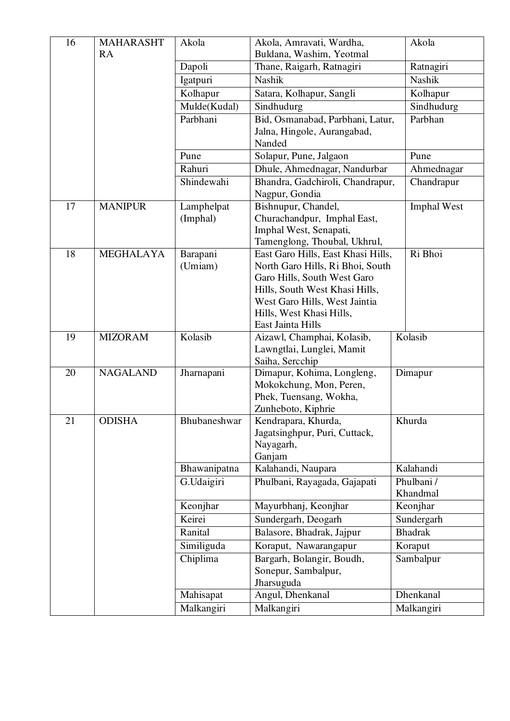| 16 | <b>MAHARASHT</b><br>RA | Akola        | Akola, Amravati, Wardha,<br>Buldana, Washim, Yeotmal               | Akola              |
|----|------------------------|--------------|--------------------------------------------------------------------|--------------------|
|    |                        | Dapoli       | Thane, Raigarh, Ratnagiri                                          | Ratnagiri          |
|    |                        | Igatpuri     | Nashik                                                             | Nashik             |
|    |                        | Kolhapur     | Satara, Kolhapur, Sangli                                           | Kolhapur           |
|    |                        | Mulde(Kudal) | Sindhudurg                                                         | Sindhudurg         |
|    |                        | Parbhani     | Bid, Osmanabad, Parbhani, Latur,                                   | Parbhan            |
|    |                        |              | Jalna, Hingole, Aurangabad,                                        |                    |
|    |                        |              | Nanded                                                             |                    |
|    |                        | Pune         | Solapur, Pune, Jalgaon                                             | Pune               |
|    |                        | Rahuri       | Dhule, Ahmednagar, Nandurbar                                       | Ahmednagar         |
|    |                        | Shindewahi   | Bhandra, Gadchiroli, Chandrapur,<br>Nagpur, Gondia                 | Chandrapur         |
| 17 | <b>MANIPUR</b>         | Lamphelpat   | Bishnupur, Chandel,                                                | <b>Imphal West</b> |
|    |                        | (Imphal)     | Churachandpur, Imphal East,                                        |                    |
|    |                        |              | Imphal West, Senapati,                                             |                    |
| 18 | <b>MEGHALAYA</b>       | Barapani     | Tamenglong, Thoubal, Ukhrul,<br>East Garo Hills, East Khasi Hills, | Ri Bhoi            |
|    |                        | (Umiam)      | North Garo Hills, Ri Bhoi, South                                   |                    |
|    |                        |              | Garo Hills, South West Garo                                        |                    |
|    |                        |              | Hills, South West Khasi Hills,                                     |                    |
|    |                        |              | West Garo Hills, West Jaintia                                      |                    |
|    |                        |              | Hills, West Khasi Hills,                                           |                    |
| 19 | <b>MIZORAM</b>         | Kolasib      | East Jainta Hills                                                  | Kolasib            |
|    |                        |              | Aizawl, Champhai, Kolasib,<br>Lawngtlai, Lunglei, Mamit            |                    |
|    |                        |              | Saiha, Sercchip                                                    |                    |
| 20 | <b>NAGALAND</b>        | Jharnapani   | Dimapur, Kohima, Longleng,                                         | Dimapur            |
|    |                        |              | Mokokchung, Mon, Peren,                                            |                    |
|    |                        |              | Phek, Tuensang, Wokha,                                             |                    |
|    |                        |              | Zunheboto, Kiphrie                                                 |                    |
| 21 | <b>ODISHA</b>          | Bhubaneshwar | Kendrapara, Khurda,                                                | Khurda             |
|    |                        |              | Jagatsinghpur, Puri, Cuttack,<br>Nayagarh,                         |                    |
|    |                        |              | Ganjam                                                             |                    |
|    |                        | Bhawanipatna | Kalahandi, Naupara                                                 | Kalahandi          |
|    |                        | G.Udaigiri   | Phulbani, Rayagada, Gajapati                                       | Phulbani/          |
|    |                        |              |                                                                    | Khandmal           |
|    |                        | Keonjhar     | Mayurbhanj, Keonjhar                                               | Keonjhar           |
|    |                        | Keirei       | Sundergarh, Deogarh                                                | Sundergarh         |
|    |                        | Ranital      | Balasore, Bhadrak, Jajpur                                          | <b>Bhadrak</b>     |
|    |                        | Similiguda   | Koraput, Nawarangapur                                              | Koraput            |
|    |                        | Chiplima     | Bargarh, Bolangir, Boudh,                                          | Sambalpur          |
|    |                        |              | Sonepur, Sambalpur,                                                |                    |
|    |                        | Mahisapat    | Jharsuguda<br>Angul, Dhenkanal                                     | Dhenkanal          |
|    |                        | Malkangiri   | Malkangiri                                                         | Malkangiri         |
|    |                        |              |                                                                    |                    |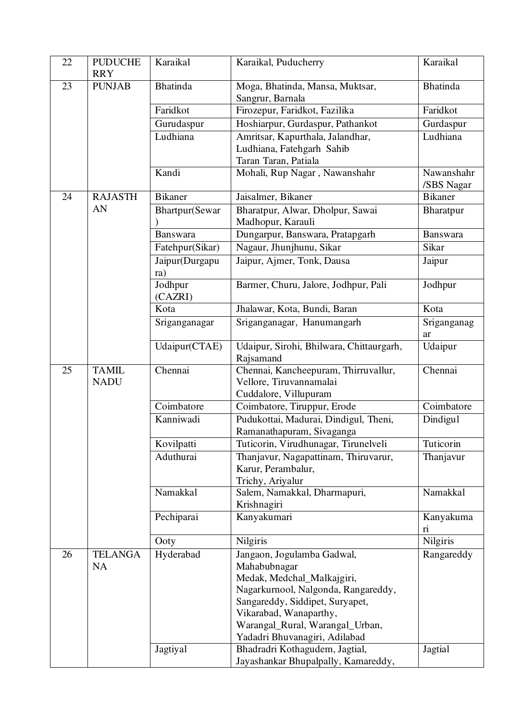| 22 | <b>PUDUCHE</b><br><b>RRY</b> | Karaikal              | Karaikal, Puducherry                                               | Karaikal                 |
|----|------------------------------|-----------------------|--------------------------------------------------------------------|--------------------------|
| 23 | <b>PUNJAB</b>                | <b>Bhatinda</b>       | Moga, Bhatinda, Mansa, Muktsar,<br>Sangrur, Barnala                | <b>Bhatinda</b>          |
|    |                              | Faridkot              | Firozepur, Faridkot, Fazilika                                      | Faridkot                 |
|    |                              | Gurudaspur            | Hoshiarpur, Gurdaspur, Pathankot                                   | Gurdaspur                |
|    |                              | Ludhiana              | Amritsar, Kapurthala, Jalandhar,                                   | Ludhiana                 |
|    |                              |                       | Ludhiana, Fatehgarh Sahib                                          |                          |
|    |                              |                       | Taran Taran, Patiala                                               |                          |
|    |                              | Kandi                 | Mohali, Rup Nagar, Nawanshahr                                      | Nawanshahr<br>/SBS Nagar |
| 24 | <b>RAJASTH</b>               | <b>Bikaner</b>        | Jaisalmer, Bikaner                                                 | <b>B</b> ikaner          |
|    | AN                           | Bhartpur(Sewar        | Bharatpur, Alwar, Dholpur, Sawai<br>Madhopur, Karauli              | Bharatpur                |
|    |                              | Banswara              | Dungarpur, Banswara, Pratapgarh                                    | Banswara                 |
|    |                              | Fatehpur(Sikar)       | Nagaur, Jhunjhunu, Sikar                                           | Sikar                    |
|    |                              | Jaipur(Durgapu<br>ra) | Jaipur, Ajmer, Tonk, Dausa                                         | Jaipur                   |
|    |                              | Jodhpur<br>(CAZRI)    | Barmer, Churu, Jalore, Jodhpur, Pali                               | Jodhpur                  |
|    |                              | Kota                  | Jhalawar, Kota, Bundi, Baran                                       | Kota                     |
|    |                              | Sriganganagar         | Sriganganagar, Hanumangarh                                         | Sriganganag<br>ar        |
|    |                              | Udaipur(CTAE)         | Udaipur, Sirohi, Bhilwara, Chittaurgarh,<br>Rajsamand              | Udaipur                  |
| 25 | <b>TAMIL</b><br><b>NADU</b>  | Chennai               | Chennai, Kancheepuram, Thirruvallur,<br>Vellore, Tiruvannamalai    | Chennai                  |
|    |                              | Coimbatore            | Cuddalore, Villupuram                                              | Coimbatore               |
|    |                              | Kanniwadi             | Coimbatore, Tiruppur, Erode                                        |                          |
|    |                              |                       | Pudukottai, Madurai, Dindigul, Theni,<br>Ramanathapuram, Sivaganga | Dindigul                 |
|    |                              | Kovilpatti            | Tuticorin, Virudhunagar, Tirunelveli                               | Tuticorin                |
|    |                              | Aduthurai             | Thanjavur, Nagapattinam, Thiruvarur,                               | Thanjavur                |
|    |                              |                       | Karur, Perambalur,                                                 |                          |
|    |                              |                       | Trichy, Ariyalur                                                   | Namakkal                 |
|    |                              | Namakkal              | Salem, Namakkal, Dharmapuri,<br>Krishnagiri                        |                          |
|    |                              | Pechiparai            | Kanyakumari                                                        | Kanyakuma<br>ri          |
|    |                              | Ooty                  | Nilgiris                                                           | Nilgiris                 |
| 26 | <b>TELANGA</b>               | Hyderabad             | Jangaon, Jogulamba Gadwal,                                         | Rangareddy               |
|    | <b>NA</b>                    |                       | Mahabubnagar                                                       |                          |
|    |                              |                       | Medak, Medchal_Malkajgiri,                                         |                          |
|    |                              |                       | Nagarkurnool, Nalgonda, Rangareddy,                                |                          |
|    |                              |                       | Sangareddy, Siddipet, Suryapet,                                    |                          |
|    |                              |                       | Vikarabad, Wanaparthy,                                             |                          |
|    |                              |                       | Warangal_Rural, Warangal_Urban,                                    |                          |
|    |                              | Jagtiyal              | Yadadri Bhuvanagiri, Adilabad<br>Bhadradri Kothagudem, Jagtial,    | Jagtial                  |
|    |                              |                       | Jayashankar Bhupalpally, Kamareddy,                                |                          |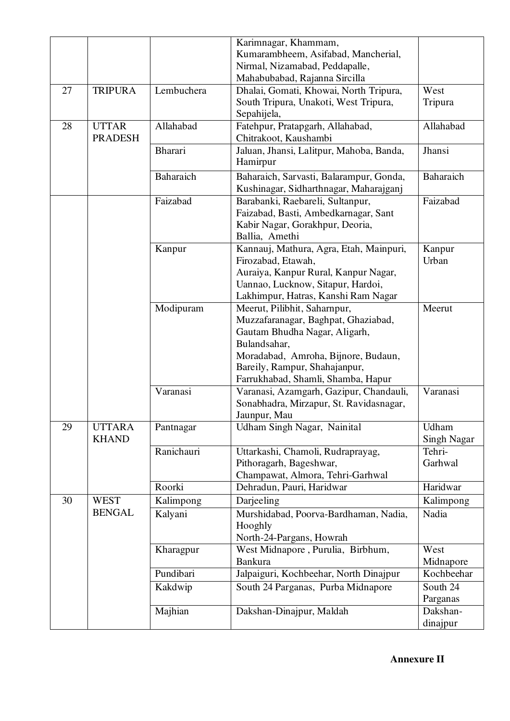|    |                |                | Karimnagar, Khammam,                     |                    |
|----|----------------|----------------|------------------------------------------|--------------------|
|    |                |                | Kumarambheem, Asifabad, Mancherial,      |                    |
|    |                |                | Nirmal, Nizamabad, Peddapalle,           |                    |
|    |                |                | Mahabubabad, Rajanna Sircilla            |                    |
| 27 | <b>TRIPURA</b> | Lembuchera     | Dhalai, Gomati, Khowai, North Tripura,   | West               |
|    |                |                | South Tripura, Unakoti, West Tripura,    | Tripura            |
|    |                |                | Sepahijela,                              |                    |
| 28 | <b>UTTAR</b>   | Allahabad      | Fatehpur, Pratapgarh, Allahabad,         | Allahabad          |
|    | <b>PRADESH</b> |                | Chitrakoot, Kaushambi                    |                    |
|    |                | <b>Bharari</b> | Jaluan, Jhansi, Lalitpur, Mahoba, Banda, | Jhansi             |
|    |                |                | Hamirpur                                 |                    |
|    |                | Baharaich      | Baharaich, Sarvasti, Balarampur, Gonda,  | Baharaich          |
|    |                |                | Kushinagar, Sidharthnagar, Maharajganj   |                    |
|    |                | Faizabad       | Barabanki, Raebareli, Sultanpur,         | Faizabad           |
|    |                |                | Faizabad, Basti, Ambedkarnagar, Sant     |                    |
|    |                |                | Kabir Nagar, Gorakhpur, Deoria,          |                    |
|    |                |                | Ballia, Amethi                           |                    |
|    |                | Kanpur         | Kannauj, Mathura, Agra, Etah, Mainpuri,  | Kanpur             |
|    |                |                | Firozabad, Etawah,                       | Urban              |
|    |                |                | Auraiya, Kanpur Rural, Kanpur Nagar,     |                    |
|    |                |                | Uannao, Lucknow, Sitapur, Hardoi,        |                    |
|    |                |                | Lakhimpur, Hatras, Kanshi Ram Nagar      |                    |
|    |                | Modipuram      | Meerut, Pilibhit, Saharnpur,             | Meerut             |
|    |                |                | Muzzafaranagar, Baghpat, Ghaziabad,      |                    |
|    |                |                | Gautam Bhudha Nagar, Aligarh,            |                    |
|    |                |                | Bulandsahar,                             |                    |
|    |                |                | Moradabad, Amroha, Bijnore, Budaun,      |                    |
|    |                |                | Bareily, Rampur, Shahajanpur,            |                    |
|    |                |                | Farrukhabad, Shamli, Shamba, Hapur       |                    |
|    |                | Varanasi       | Varanasi, Azamgarh, Gazipur, Chandauli,  | Varanasi           |
|    |                |                | Sonabhadra, Mirzapur, St. Ravidasnagar,  |                    |
|    |                |                | Jaunpur, Mau                             |                    |
| 29 | <b>UTTARA</b>  | Pantnagar      | Udham Singh Nagar, Nainital              | Udham              |
|    | <b>KHAND</b>   |                |                                          | <b>Singh Nagar</b> |
|    |                | Ranichauri     | Uttarkashi, Chamoli, Rudraprayag,        | Tehri-             |
|    |                |                | Pithoragarh, Bageshwar,                  | Garhwal            |
|    |                |                | Champawat, Almora, Tehri-Garhwal         |                    |
|    |                | Roorki         | Dehradun, Pauri, Haridwar                | Haridwar           |
| 30 | <b>WEST</b>    | Kalimpong      | Darjeeling                               | Kalimpong          |
|    | <b>BENGAL</b>  | Kalyani        | Murshidabad, Poorva-Bardhaman, Nadia,    | Nadia              |
|    |                |                | Hooghly                                  |                    |
|    |                |                | North-24-Pargans, Howrah                 |                    |
|    |                | Kharagpur      | West Midnapore, Purulia, Birbhum,        | West               |
|    |                |                | <b>Bankura</b>                           | Midnapore          |
|    |                | Pundibari      | Jalpaiguri, Kochbeehar, North Dinajpur   | Kochbeehar         |
|    |                | Kakdwip        | South 24 Parganas, Purba Midnapore       | South 24           |
|    |                |                |                                          | Parganas           |
|    |                | Majhian        | Dakshan-Dinajpur, Maldah                 | Dakshan-           |
|    |                |                |                                          | dinajpur           |

**Annexure II**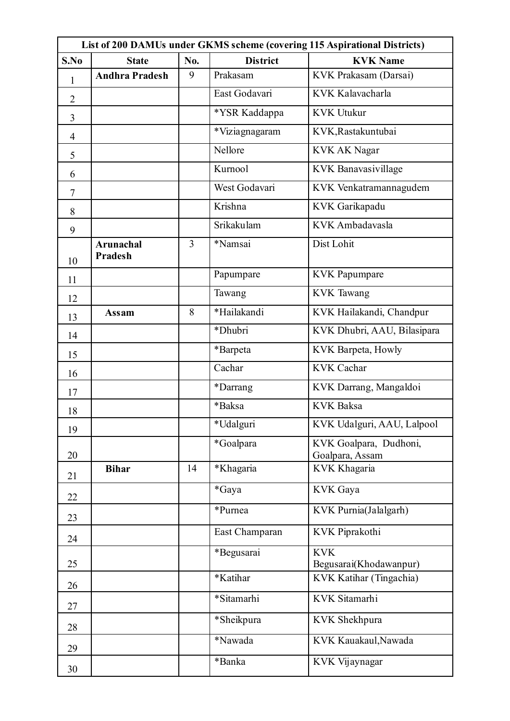| List of 200 DAMUs under GKMS scheme (covering 115 Aspirational Districts) |                                    |     |                 |                                           |  |
|---------------------------------------------------------------------------|------------------------------------|-----|-----------------|-------------------------------------------|--|
| S.No                                                                      | <b>State</b>                       | No. | <b>District</b> | <b>KVK Name</b>                           |  |
| $\mathbf{1}$                                                              | <b>Andhra Pradesh</b>              | 9   | Prakasam        | KVK Prakasam (Darsai)                     |  |
| $\overline{2}$                                                            |                                    |     | East Godavari   | KVK Kalavacharla                          |  |
| 3                                                                         |                                    |     | *YSR Kaddappa   | <b>KVK Utukur</b>                         |  |
| $\overline{4}$                                                            |                                    |     | *Viziagnagaram  | KVK, Rastakuntubai                        |  |
| 5                                                                         |                                    |     | Nellore         | <b>KVK AK Nagar</b>                       |  |
| 6                                                                         |                                    |     | Kurnool         | KVK Banavasivillage                       |  |
| $\overline{7}$                                                            |                                    |     | West Godavari   | KVK Venkatramannagudem                    |  |
| 8                                                                         |                                    |     | Krishna         | KVK Garikapadu                            |  |
| 9                                                                         |                                    |     | Srikakulam      | KVK Ambadavasla                           |  |
| 10                                                                        | <b>Arunachal</b><br><b>Pradesh</b> | 3   | *Namsai         | Dist Lohit                                |  |
| 11                                                                        |                                    |     | Papumpare       | <b>KVK</b> Papumpare                      |  |
| 12                                                                        |                                    |     | Tawang          | <b>KVK</b> Tawang                         |  |
| 13                                                                        | Assam                              | 8   | *Hailakandi     | KVK Hailakandi, Chandpur                  |  |
| 14                                                                        |                                    |     | *Dhubri         | KVK Dhubri, AAU, Bilasipara               |  |
| 15                                                                        |                                    |     | *Barpeta        | KVK Barpeta, Howly                        |  |
| 16                                                                        |                                    |     | Cachar          | <b>KVK Cachar</b>                         |  |
| 17                                                                        |                                    |     | *Darrang        | KVK Darrang, Mangaldoi                    |  |
| 18                                                                        |                                    |     | *Baksa          | <b>KVK Baksa</b>                          |  |
| 19                                                                        |                                    |     | *Udalguri       | KVK Udalguri, AAU, Lalpool                |  |
| 20                                                                        |                                    |     | *Goalpara       | KVK Goalpara, Dudhoni,<br>Goalpara, Assam |  |
| 21                                                                        | <b>Bihar</b>                       | 14  | *Khagaria       | KVK Khagaria                              |  |
| 22                                                                        |                                    |     | *Gaya           | KVK Gaya                                  |  |
| 23                                                                        |                                    |     | *Purnea         | KVK Purnia(Jalalgarh)                     |  |
| 24                                                                        |                                    |     | East Champaran  | KVK Piprakothi                            |  |
| 25                                                                        |                                    |     | *Begusarai      | <b>KVK</b><br>Begusarai(Khodawanpur)      |  |
| 26                                                                        |                                    |     | *Katihar        | KVK Katihar (Tingachia)                   |  |
| 27                                                                        |                                    |     | *Sitamarhi      | KVK Sitamarhi                             |  |
| 28                                                                        |                                    |     | *Sheikpura      | KVK Shekhpura                             |  |
| 29                                                                        |                                    |     | *Nawada         | KVK Kauakaul, Nawada                      |  |
| 30                                                                        |                                    |     | *Banka          | KVK Vijaynagar                            |  |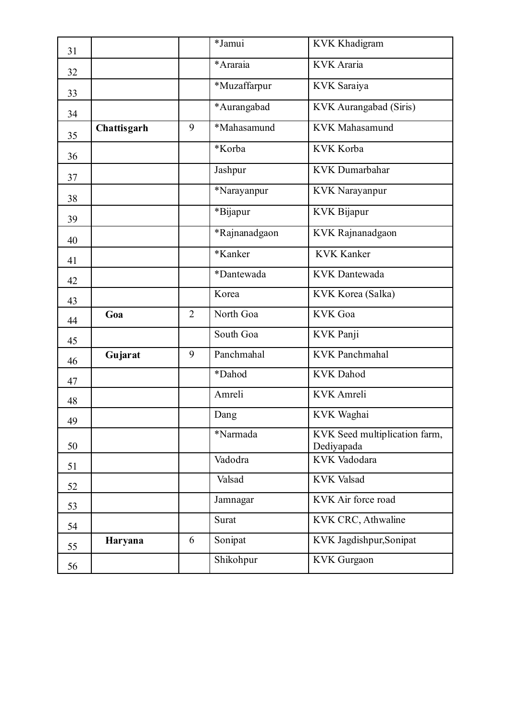| 31 |             |                | *Jamui        | <b>KVK Khadigram</b>                        |
|----|-------------|----------------|---------------|---------------------------------------------|
| 32 |             |                | *Araraia      | <b>KVK</b> Araria                           |
| 33 |             |                | *Muzaffarpur  | <b>KVK</b> Saraiya                          |
| 34 |             |                | *Aurangabad   | KVK Aurangabad (Siris)                      |
| 35 | Chattisgarh | 9              | *Mahasamund   | <b>KVK</b> Mahasamund                       |
| 36 |             |                | *Korba        | KVK Korba                                   |
| 37 |             |                | Jashpur       | <b>KVK</b> Dumarbahar                       |
| 38 |             |                | *Narayanpur   | <b>KVK</b> Narayanpur                       |
| 39 |             |                | *Bijapur      | <b>KVK Bijapur</b>                          |
| 40 |             |                | *Rajnanadgaon | KVK Rajnanadgaon                            |
| 41 |             |                | *Kanker       | <b>KVK Kanker</b>                           |
| 42 |             |                | *Dantewada    | <b>KVK</b> Dantewada                        |
| 43 |             |                | Korea         | KVK Korea (Salka)                           |
| 44 | Goa         | $\overline{2}$ | North Goa     | <b>KVK</b> Goa                              |
| 45 |             |                | South Goa     | KVK Panji                                   |
| 46 | Gujarat     | 9              | Panchmahal    | <b>KVK Panchmahal</b>                       |
| 47 |             |                | *Dahod        | <b>KVK</b> Dahod                            |
| 48 |             |                | Amreli        | <b>KVK</b> Amreli                           |
| 49 |             |                | Dang          | KVK Waghai                                  |
| 50 |             |                | *Narmada      | KVK Seed multiplication farm,<br>Dediyapada |
| 51 |             |                | Vadodra       | KVK Vadodara                                |
|    |             |                |               |                                             |
| 52 |             |                | Valsad        | <b>KVK Valsad</b>                           |
| 53 |             |                | Jamnagar      | KVK Air force road                          |
| 54 |             |                | Surat         | KVK CRC, Athwaline                          |
| 55 | Haryana     | 6              | Sonipat       | KVK Jagdishpur, Sonipat                     |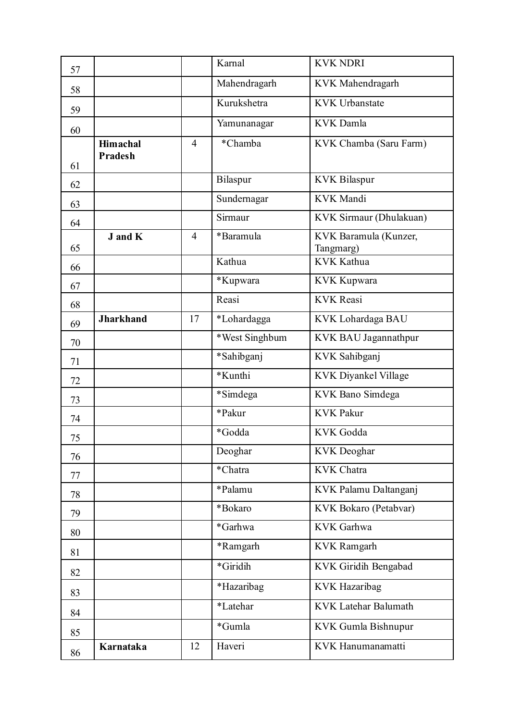| 57 |                       |                | Karnal         | <b>KVK NDRI</b>                    |
|----|-----------------------|----------------|----------------|------------------------------------|
| 58 |                       |                | Mahendragarh   | KVK Mahendragarh                   |
| 59 |                       |                | Kurukshetra    | <b>KVK Urbanstate</b>              |
| 60 |                       |                | Yamunanagar    | <b>KVK</b> Damla                   |
|    | <b>Himachal</b>       | $\overline{4}$ | *Chamba        | KVK Chamba (Saru Farm)             |
| 61 | <b>Pradesh</b>        |                |                |                                    |
| 62 |                       |                | Bilaspur       | <b>KVK Bilaspur</b>                |
| 63 |                       |                | Sundernagar    | <b>KVK</b> Mandi                   |
| 64 |                       |                | Sirmaur        | KVK Sirmaur (Dhulakuan)            |
| 65 | <b>J</b> and <b>K</b> | $\overline{4}$ | *Baramula      | KVK Baramula (Kunzer,<br>Tangmarg) |
| 66 |                       |                | Kathua         | <b>KVK Kathua</b>                  |
| 67 |                       |                | *Kupwara       | <b>KVK Kupwara</b>                 |
| 68 |                       |                | Reasi          | <b>KVK Reasi</b>                   |
| 69 | <b>Jharkhand</b>      | 17             | *Lohardagga    | KVK Lohardaga BAU                  |
| 70 |                       |                | *West Singhbum | KVK BAU Jagannathpur               |
| 71 |                       |                | *Sahibganj     | KVK Sahibganj                      |
| 72 |                       |                | *Kunthi        | KVK Diyankel Village               |
| 73 |                       |                | *Simdega       | KVK Bano Simdega                   |
| 74 |                       |                | *Pakur         | <b>KVK Pakur</b>                   |
| 75 |                       |                | *Godda         | <b>KVK</b> Godda                   |
| 76 |                       |                | Deoghar        | <b>KVK</b> Deoghar                 |
| 77 |                       |                | *Chatra        | <b>KVK Chatra</b>                  |
| 78 |                       |                | *Palamu        | KVK Palamu Daltanganj              |
| 79 |                       |                | *Bokaro        | KVK Bokaro (Petabvar)              |
| 80 |                       |                | *Garhwa        | KVK Garhwa                         |
| 81 |                       |                | *Ramgarh       | <b>KVK Ramgarh</b>                 |
| 82 |                       |                | *Giridih       | KVK Giridih Bengabad               |
| 83 |                       |                | *Hazaribag     | KVK Hazaribag                      |
| 84 |                       |                | *Latehar       | <b>KVK Latehar Balumath</b>        |
| 85 |                       |                | *Gumla         | KVK Gumla Bishnupur                |
| 86 | Karnataka             | 12             | Haveri         | KVK Hanumanamatti                  |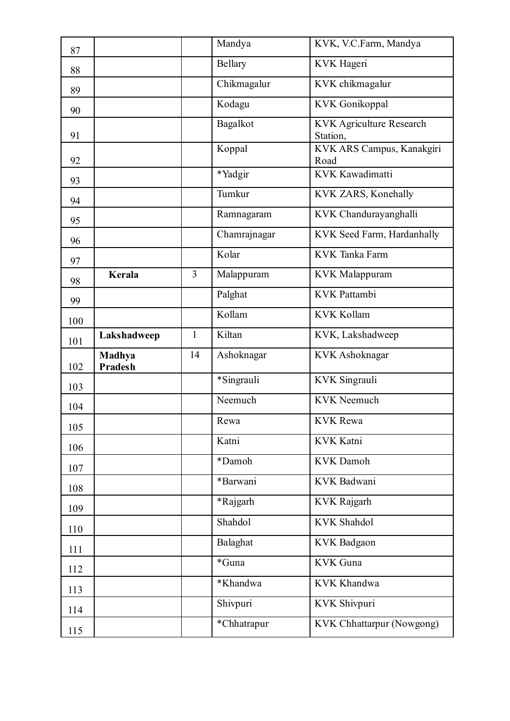| 87  |                          |                | Mandya       | KVK, V.C.Farm, Mandya                       |
|-----|--------------------------|----------------|--------------|---------------------------------------------|
| 88  |                          |                | Bellary      | KVK Hageri                                  |
| 89  |                          |                | Chikmagalur  | KVK chikmagalur                             |
| 90  |                          |                | Kodagu       | <b>KVK</b> Gonikoppal                       |
| 91  |                          |                | Bagalkot     | <b>KVK Agriculture Research</b><br>Station, |
| 92  |                          |                | Koppal       | KVK ARS Campus, Kanakgiri<br>Road           |
| 93  |                          |                | *Yadgir      | KVK Kawadimatti                             |
| 94  |                          |                | Tumkur       | KVK ZARS, Konehally                         |
| 95  |                          |                | Ramnagaram   | KVK Chandurayanghalli                       |
| 96  |                          |                | Chamrajnagar | KVK Seed Farm, Hardanhally                  |
| 97  |                          |                | Kolar        | <b>KVK</b> Tanka Farm                       |
| 98  | <b>Kerala</b>            | $\overline{3}$ | Malappuram   | <b>KVK</b> Malappuram                       |
| 99  |                          |                | Palghat      | <b>KVK</b> Pattambi                         |
| 100 |                          |                | Kollam       | <b>KVK Kollam</b>                           |
| 101 | Lakshadweep              | $\mathbf{1}$   | Kiltan       | KVK, Lakshadweep                            |
|     |                          |                |              |                                             |
| 102 | Madhya<br><b>Pradesh</b> | 14             | Ashoknagar   | KVK Ashoknagar                              |
| 103 |                          |                | *Singrauli   | KVK Singrauli                               |
| 104 |                          |                | Neemuch      | <b>KVK</b> Neemuch                          |
| 105 |                          |                | Rewa         | <b>KVK</b> Rewa                             |
| 106 |                          |                | Katni        | KVK Katni                                   |
| 107 |                          |                | *Damoh       | <b>KVK</b> Damoh                            |
| 108 |                          |                | *Barwani     | KVK Badwani                                 |
| 109 |                          |                | *Rajgarh     | <b>KVK Rajgarh</b>                          |
| 110 |                          |                | Shahdol      | <b>KVK Shahdol</b>                          |
| 111 |                          |                | Balaghat     | <b>KVK</b> Badgaon                          |
| 112 |                          |                | *Guna        | <b>KVK</b> Guna                             |
| 113 |                          |                | *Khandwa     | <b>KVK Khandwa</b>                          |
| 114 |                          |                | Shivpuri     | KVK Shivpuri                                |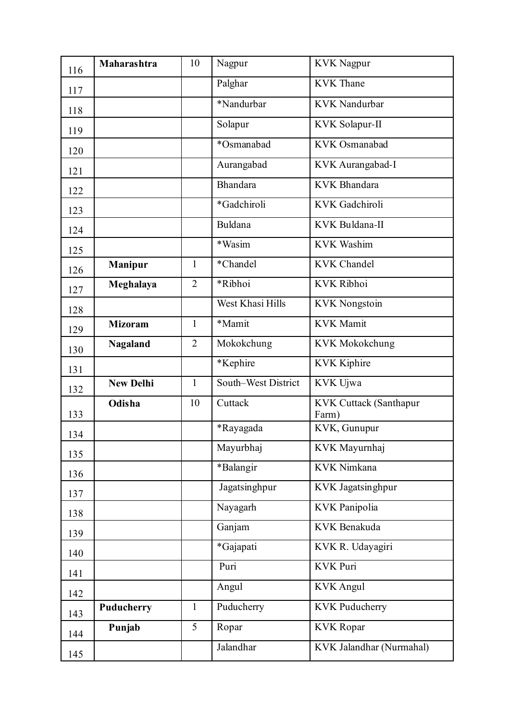| 116 | Maharashtra      | 10             | Nagpur              | <b>KVK Nagpur</b>               |
|-----|------------------|----------------|---------------------|---------------------------------|
| 117 |                  |                | Palghar             | <b>KVK</b> Thane                |
| 118 |                  |                | *Nandurbar          | <b>KVK</b> Nandurbar            |
| 119 |                  |                | Solapur             | KVK Solapur-II                  |
| 120 |                  |                | *Osmanabad          | KVK Osmanabad                   |
| 121 |                  |                | Aurangabad          | KVK Aurangabad-I                |
| 122 |                  |                | Bhandara            | <b>KVK</b> Bhandara             |
| 123 |                  |                | *Gadchiroli         | KVK Gadchiroli                  |
| 124 |                  |                | Buldana             | KVK Buldana-II                  |
| 125 |                  |                | *Wasim              | <b>KVK Washim</b>               |
| 126 | <b>Manipur</b>   | 1              | *Chandel            | <b>KVK Chandel</b>              |
| 127 | Meghalaya        | $\overline{2}$ | *Ribhoi             | KVK Ribhoi                      |
| 128 |                  |                | West Khasi Hills    | <b>KVK</b> Nongstoin            |
| 129 | <b>Mizoram</b>   | $\mathbf{1}$   | *Mamit              | <b>KVK</b> Mamit                |
| 130 | <b>Nagaland</b>  | $\overline{2}$ | Mokokchung          | <b>KVK Mokokchung</b>           |
| 131 |                  |                | *Kephire            | <b>KVK Kiphire</b>              |
| 132 | <b>New Delhi</b> | $\mathbf{1}$   | South–West District | KVK Ujwa                        |
| 133 | Odisha           | 10             | Cuttack             | KVK Cuttack (Santhapur<br>Farm) |
| 134 |                  |                | *Rayagada           | KVK, Gunupur                    |
| 135 |                  |                | Mayurbhaj           | KVK Mayurnhaj                   |
| 136 |                  |                | *Balangir           | KVK Nimkana                     |
| 137 |                  |                | Jagatsinghpur       | KVK Jagatsinghpur               |
| 138 |                  |                | Nayagarh            | KVK Panipolia                   |
| 139 |                  |                | Ganjam              | KVK Benakuda                    |
| 140 |                  |                | *Gajapati           | KVK R. Udayagiri                |
| 141 |                  |                | Puri                | <b>KVK Puri</b>                 |
| 142 |                  |                | Angul               | <b>KVK</b> Angul                |
| 143 | Puducherry       | $\mathbf{1}$   | Puducherry          | <b>KVK Puducherry</b>           |
| 144 | Punjab           | 5              | Ropar               | <b>KVK</b> Ropar                |
| 145 |                  |                | Jalandhar           | KVK Jalandhar (Nurmahal)        |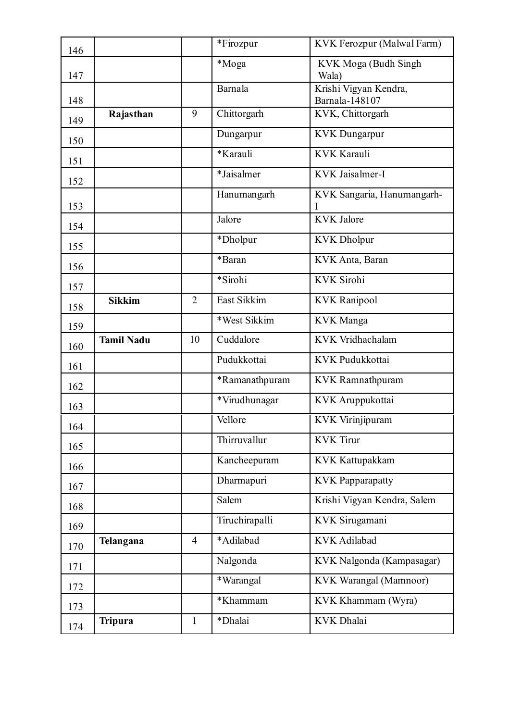| 146 |                   |                | *Firozpur                    | KVK Ferozpur (Malwal Farm)              |
|-----|-------------------|----------------|------------------------------|-----------------------------------------|
| 147 |                   |                | *Moga                        | KVK Moga (Budh Singh<br>Wala)           |
| 148 |                   |                | Barnala                      | Krishi Vigyan Kendra,<br>Barnala-148107 |
| 149 | Rajasthan         | 9              | Chittorgarh                  | KVK, Chittorgarh                        |
| 150 |                   |                | Dungarpur                    | <b>KVK</b> Dungarpur                    |
| 151 |                   |                | *Karauli                     | <b>KVK Karauli</b>                      |
| 152 |                   |                | $\overline{\ast J}$ aisalmer | KVK Jaisalmer-I                         |
| 153 |                   |                | Hanumangarh                  | KVK Sangaria, Hanumangarh-<br>I         |
| 154 |                   |                | Jalore                       | <b>KVK</b> Jalore                       |
| 155 |                   |                | *Dholpur                     | <b>KVK</b> Dholpur                      |
| 156 |                   |                | *Baran                       | KVK Anta, Baran                         |
| 157 |                   |                | *Sirohi                      | <b>KVK</b> Sirohi                       |
| 158 | <b>Sikkim</b>     | $\overline{2}$ | East Sikkim                  | <b>KVK Ranipool</b>                     |
| 159 |                   |                | *West Sikkim                 | <b>KVK</b> Manga                        |
| 160 | <b>Tamil Nadu</b> | 10             | Cuddalore                    | KVK Vridhachalam                        |
| 161 |                   |                | Pudukkottai                  | KVK Pudukkottai                         |
| 162 |                   |                | *Ramanathpuram               | KVK Ramnathpuram                        |
| 163 |                   |                | *Virudhunagar                | KVK Aruppukottai                        |
| 164 |                   |                | Vellore                      | KVK Virinjipuram                        |
| 165 |                   |                | Thirruvallur                 | <b>KVK</b> Tirur                        |
| 166 |                   |                | Kancheepuram                 | <b>KVK Kattupakkam</b>                  |
| 167 |                   |                | Dharmapuri                   | <b>KVK Papparapatty</b>                 |
| 168 |                   |                | Salem                        | Krishi Vigyan Kendra, Salem             |
| 169 |                   |                | Tiruchirapalli               | KVK Sirugamani                          |
| 170 | Telangana         | $\overline{4}$ | *Adilabad                    | <b>KVK</b> Adilabad                     |
| 171 |                   |                | Nalgonda                     | KVK Nalgonda (Kampasagar)               |
| 172 |                   |                | *Warangal                    | KVK Warangal (Mamnoor)                  |
| 173 |                   |                | *Khammam                     | KVK Khammam (Wyra)                      |
| 174 | <b>Tripura</b>    | $\mathbf{1}$   | *Dhalai                      | <b>KVK</b> Dhalai                       |